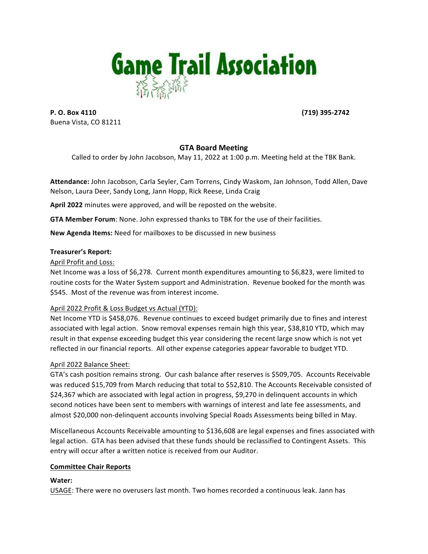

**P. O. Box 4110 (719)** 395-2742 Buena Vista, CO 81211

# **GTA Board Meeting**

Called to order by John Jacobson, May 11, 2022 at 1:00 p.m. Meeting held at the TBK Bank.

Attendance: John Jacobson, Carla Seyler, Cam Torrens, Cindy Waskom, Jan Johnson, Todd Allen, Dave Nelson, Laura Deer, Sandy Long, Jann Hopp, Rick Reese, Linda Craig

**April 2022** minutes were approved, and will be reposted on the website.

**GTA Member Forum:** None. John expressed thanks to TBK for the use of their facilities.

**New Agenda Items:** Need for mailboxes to be discussed in new business

#### **Treasurer's Report:**

April Profit and Loss:

Net Income was a loss of \$6,278. Current month expenditures amounting to \$6,823, were limited to routine costs for the Water System support and Administration. Revenue booked for the month was \$545. Most of the revenue was from interest income.

## April 2022 Profit & Loss Budget vs Actual (YTD):

Net Income YTD is \$458,076. Revenue continues to exceed budget primarily due to fines and interest associated with legal action. Snow removal expenses remain high this year, \$38,810 YTD, which may result in that expense exceeding budget this year considering the recent large snow which is not yet reflected in our financial reports. All other expense categories appear favorable to budget YTD.

#### April 2022 Balance Sheet:

GTA's cash position remains strong. Our cash balance after reserves is \$509,705. Accounts Receivable was reduced \$15,709 from March reducing that total to \$52,810. The Accounts Receivable consisted of \$24,367 which are associated with legal action in progress, \$9,270 in delinquent accounts in which second notices have been sent to members with warnings of interest and late fee assessments, and almost \$20,000 non-delinquent accounts involving Special Roads Assessments being billed in May.

Miscellaneous Accounts Receivable amounting to \$136,608 are legal expenses and fines associated with legal action. GTA has been advised that these funds should be reclassified to Contingent Assets. This entry will occur after a written notice is received from our Auditor.

#### **Committee Chair Reports**

**Water:**

USAGE: There were no overusers last month. Two homes recorded a continuous leak. Jann has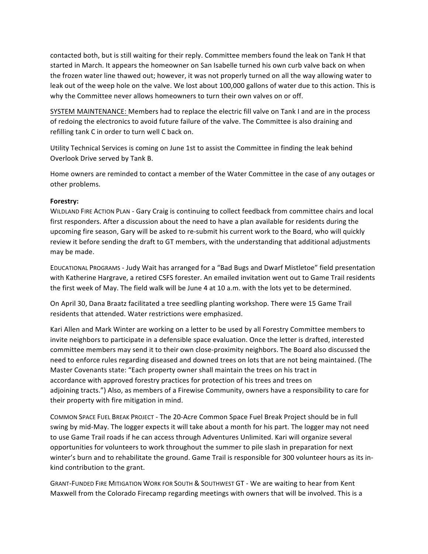contacted both, but is still waiting for their reply. Committee members found the leak on Tank H that started in March. It appears the homeowner on San Isabelle turned his own curb valve back on when the frozen water line thawed out; however, it was not properly turned on all the way allowing water to leak out of the weep hole on the valve. We lost about 100,000 gallons of water due to this action. This is why the Committee never allows homeowners to turn their own valves on or off.

SYSTEM MAINTENANCE: Members had to replace the electric fill valve on Tank I and are in the process of redoing the electronics to avoid future failure of the valve. The Committee is also draining and refilling tank C in order to turn well C back on.

Utility Technical Services is coming on June 1st to assist the Committee in finding the leak behind Overlook Drive served by Tank B.

Home owners are reminded to contact a member of the Water Committee in the case of any outages or other problems.

#### **Forestry:**

WILDLAND FIRE ACTION PLAN - Gary Craig is continuing to collect feedback from committee chairs and local first responders. After a discussion about the need to have a plan available for residents during the upcoming fire season, Gary will be asked to re-submit his current work to the Board, who will quickly review it before sending the draft to GT members, with the understanding that additional adjustments may be made.

EDUCATIONAL PROGRAMS - Judy Wait has arranged for a "Bad Bugs and Dwarf Mistletoe" field presentation with Katherine Hargrave, a retired CSFS forester. An emailed invitation went out to Game Trail residents the first week of May. The field walk will be June 4 at 10 a.m. with the lots yet to be determined.

On April 30, Dana Braatz facilitated a tree seedling planting workshop. There were 15 Game Trail residents that attended. Water restrictions were emphasized.

Kari Allen and Mark Winter are working on a letter to be used by all Forestry Committee members to invite neighbors to participate in a defensible space evaluation. Once the letter is drafted, interested committee members may send it to their own close-proximity neighbors. The Board also discussed the need to enforce rules regarding diseased and downed trees on lots that are not being maintained. (The Master Covenants state: "Each property owner shall maintain the trees on his tract in accordance with approved forestry practices for protection of his trees and trees on adjoining tracts.") Also, as members of a Firewise Community, owners have a responsibility to care for their property with fire mitigation in mind.

COMMON SPACE FUEL BREAK PROJECT - The 20-Acre Common Space Fuel Break Project should be in full swing by mid-May. The logger expects it will take about a month for his part. The logger may not need to use Game Trail roads if he can access through Adventures Unlimited. Kari will organize several opportunities for volunteers to work throughout the summer to pile slash in preparation for next winter's burn and to rehabilitate the ground. Game Trail is responsible for 300 volunteer hours as its inkind contribution to the grant.

GRANT-FUNDED FIRE MITIGATION WORK FOR SOUTH & SOUTHWEST GT - We are waiting to hear from Kent Maxwell from the Colorado Firecamp regarding meetings with owners that will be involved. This is a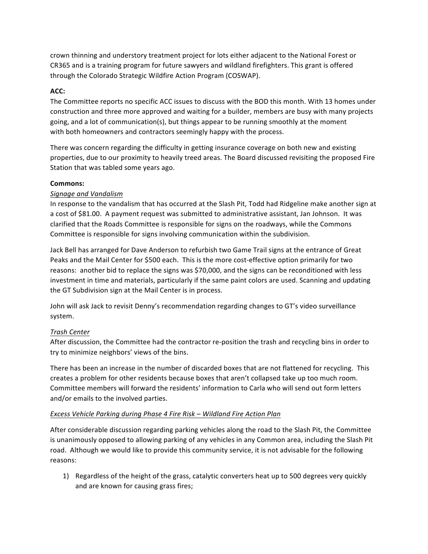crown thinning and understory treatment project for lots either adjacent to the National Forest or CR365 and is a training program for future sawyers and wildland firefighters. This grant is offered through the Colorado Strategic Wildfire Action Program (COSWAP).

## **ACC:**

The Committee reports no specific ACC issues to discuss with the BOD this month. With 13 homes under construction and three more approved and waiting for a builder, members are busy with many projects going, and a lot of communication(s), but things appear to be running smoothly at the moment with both homeowners and contractors seemingly happy with the process.

There was concern regarding the difficulty in getting insurance coverage on both new and existing properties, due to our proximity to heavily treed areas. The Board discussed revisiting the proposed Fire Station that was tabled some years ago.

## **Commons:**

### *Signage and Vandalism*

In response to the vandalism that has occurred at the Slash Pit, Todd had Ridgeline make another sign at a cost of \$81.00. A payment request was submitted to administrative assistant, Jan Johnson. It was clarified that the Roads Committee is responsible for signs on the roadways, while the Commons Committee is responsible for signs involving communication within the subdivision.

Jack Bell has arranged for Dave Anderson to refurbish two Game Trail signs at the entrance of Great Peaks and the Mail Center for \$500 each. This is the more cost-effective option primarily for two reasons: another bid to replace the signs was \$70,000, and the signs can be reconditioned with less investment in time and materials, particularly if the same paint colors are used. Scanning and updating the GT Subdivision sign at the Mail Center is in process.

John will ask Jack to revisit Denny's recommendation regarding changes to GT's video surveillance system. 

## *Trash Center*

After discussion, the Committee had the contractor re-position the trash and recycling bins in order to try to minimize neighbors' views of the bins.

There has been an increase in the number of discarded boxes that are not flattened for recycling. This creates a problem for other residents because boxes that aren't collapsed take up too much room. Committee members will forward the residents' information to Carla who will send out form letters and/or emails to the involved parties.

#### *Excess Vehicle Parking during Phase 4 Fire Risk – Wildland Fire Action Plan*

After considerable discussion regarding parking vehicles along the road to the Slash Pit, the Committee is unanimously opposed to allowing parking of any vehicles in any Common area, including the Slash Pit road. Although we would like to provide this community service, it is not advisable for the following reasons:

1) Regardless of the height of the grass, catalytic converters heat up to 500 degrees very quickly and are known for causing grass fires;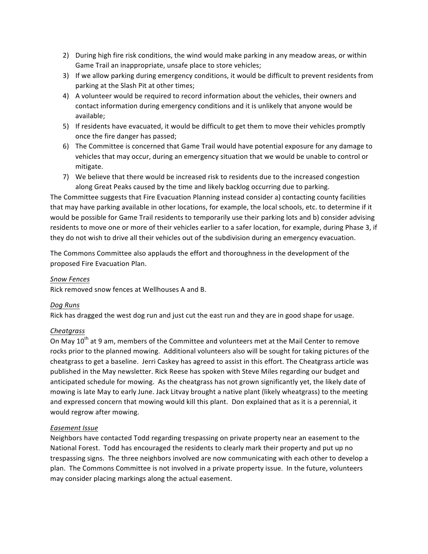- 2) During high fire risk conditions, the wind would make parking in any meadow areas, or within Game Trail an inappropriate, unsafe place to store vehicles;
- 3) If we allow parking during emergency conditions, it would be difficult to prevent residents from parking at the Slash Pit at other times;
- 4) A volunteer would be required to record information about the vehicles, their owners and contact information during emergency conditions and it is unlikely that anyone would be available;
- 5) If residents have evacuated, it would be difficult to get them to move their vehicles promptly once the fire danger has passed;
- 6) The Committee is concerned that Game Trail would have potential exposure for any damage to vehicles that may occur, during an emergency situation that we would be unable to control or mitigate.
- 7) We believe that there would be increased risk to residents due to the increased congestion along Great Peaks caused by the time and likely backlog occurring due to parking.

The Committee suggests that Fire Evacuation Planning instead consider a) contacting county facilities that may have parking available in other locations, for example, the local schools, etc. to determine if it would be possible for Game Trail residents to temporarily use their parking lots and b) consider advising residents to move one or more of their vehicles earlier to a safer location, for example, during Phase 3, if they do not wish to drive all their vehicles out of the subdivision during an emergency evacuation.

The Commons Committee also applauds the effort and thoroughness in the development of the proposed Fire Evacuation Plan.

### *Snow Fences*

Rick removed snow fences at Wellhouses A and B.

#### *Dog Runs*

Rick has dragged the west dog run and just cut the east run and they are in good shape for usage.

## *Cheatgrass*

On May 10<sup>th</sup> at 9 am, members of the Committee and volunteers met at the Mail Center to remove rocks prior to the planned mowing. Additional volunteers also will be sought for taking pictures of the cheatgrass to get a baseline. Jerri Caskey has agreed to assist in this effort. The Cheatgrass article was published in the May newsletter. Rick Reese has spoken with Steve Miles regarding our budget and anticipated schedule for mowing. As the cheatgrass has not grown significantly yet, the likely date of mowing is late May to early June. Jack Litvay brought a native plant (likely wheatgrass) to the meeting and expressed concern that mowing would kill this plant. Don explained that as it is a perennial, it would regrow after mowing.

#### *Easement Issue*

Neighbors have contacted Todd regarding trespassing on private property near an easement to the National Forest. Todd has encouraged the residents to clearly mark their property and put up no trespassing signs. The three neighbors involved are now communicating with each other to develop a plan. The Commons Committee is not involved in a private property issue. In the future, volunteers may consider placing markings along the actual easement.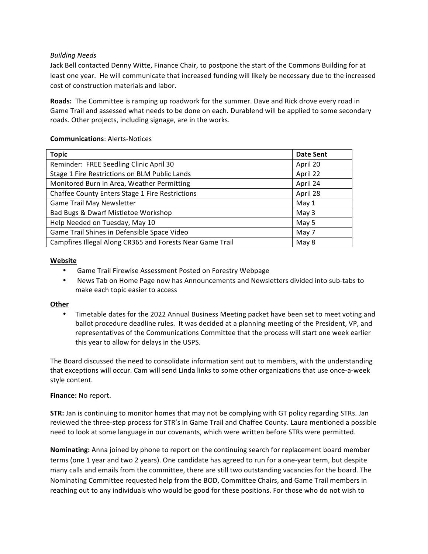### *Building Needs*

Jack Bell contacted Denny Witte, Finance Chair, to postpone the start of the Commons Building for at least one year. He will communicate that increased funding will likely be necessary due to the increased cost of construction materials and labor.

**Roads:** The Committee is ramping up roadwork for the summer. Dave and Rick drove every road in Game Trail and assessed what needs to be done on each. Durablend will be applied to some secondary roads. Other projects, including signage, are in the works.

### **Communications**: Alerts-Notices

| <b>Topic</b>                                              | <b>Date Sent</b> |
|-----------------------------------------------------------|------------------|
| Reminder: FREE Seedling Clinic April 30                   | April 20         |
| Stage 1 Fire Restrictions on BLM Public Lands             | April 22         |
| Monitored Burn in Area, Weather Permitting                | April 24         |
| Chaffee County Enters Stage 1 Fire Restrictions           | April 28         |
| Game Trail May Newsletter                                 | May 1            |
| Bad Bugs & Dwarf Mistletoe Workshop                       | May $3$          |
| Help Needed on Tuesday, May 10                            | May 5            |
| Game Trail Shines in Defensible Space Video               | May 7            |
| Campfires Illegal Along CR365 and Forests Near Game Trail | May 8            |

#### **Website**

- Game Trail Firewise Assessment Posted on Forestry Webpage
- News Tab on Home Page now has Announcements and Newsletters divided into sub-tabs to make each topic easier to access

#### **Other**

Timetable dates for the 2022 Annual Business Meeting packet have been set to meet voting and ballot procedure deadline rules. It was decided at a planning meeting of the President, VP, and representatives of the Communications Committee that the process will start one week earlier this year to allow for delays in the USPS.

The Board discussed the need to consolidate information sent out to members, with the understanding that exceptions will occur. Cam will send Linda links to some other organizations that use once-a-week style content.

#### **Finance:** No report.

**STR:** Jan is continuing to monitor homes that may not be complying with GT policy regarding STRs. Jan reviewed the three-step process for STR's in Game Trail and Chaffee County. Laura mentioned a possible need to look at some language in our covenants, which were written before STRs were permitted.

**Nominating:** Anna joined by phone to report on the continuing search for replacement board member terms (one 1 year and two 2 years). One candidate has agreed to run for a one-year term, but despite many calls and emails from the committee, there are still two outstanding vacancies for the board. The Nominating Committee requested help from the BOD, Committee Chairs, and Game Trail members in reaching out to any individuals who would be good for these positions. For those who do not wish to